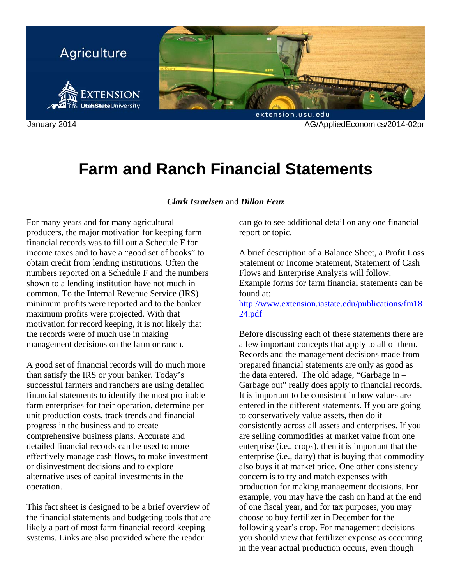

January 2014 AG/AppliedEconomics/2014-02pr

# **Farm and Ranch Financial Statements**

#### *Clark Israelsen* and *Dillon Feuz*

For many years and for many agricultural producers, the major motivation for keeping farm financial records was to fill out a Schedule F for income taxes and to have a "good set of books" to obtain credit from lending institutions. Often the numbers reported on a Schedule F and the numbers shown to a lending institution have not much in common. To the Internal Revenue Service (IRS) minimum profits were reported and to the banker maximum profits were projected. With that motivation for record keeping, it is not likely that the records were of much use in making management decisions on the farm or ranch.

A good set of financial records will do much more than satisfy the IRS or your banker. Today's successful farmers and ranchers are using detailed financial statements to identify the most profitable farm enterprises for their operation, determine per unit production costs, track trends and financial progress in the business and to create comprehensive business plans. Accurate and detailed financial records can be used to more effectively manage cash flows, to make investment or disinvestment decisions and to explore alternative uses of capital investments in the operation.

This fact sheet is designed to be a brief overview of the financial statements and budgeting tools that are likely a part of most farm financial record keeping systems. Links are also provided where the reader

can go to see additional detail on any one financial report or topic.

A brief description of a Balance Sheet, a Profit Loss Statement or Income Statement, Statement of Cash Flows and Enterprise Analysis will follow.

Example forms for farm financial statements can be found at:

[http://www.extension.iastate.edu/publications/fm18](http://www.extension.iastate.edu/publications/fm1824.pdf) 24.pdf

Before discussing each of these statements there are a few important concepts that apply to all of them. Records and the management decisions made from prepared financial statements are only as good as the data entered. The old adage, "Garbage in – Garbage out" really does apply to financial records. It is important to be consistent in how values are entered in the different statements. If you are going to conservatively value assets, then do it consistently across all assets and enterprises. If you are selling commodities at market value from one enterprise (i.e., crops), then it is important that the enterprise (i.e., dairy) that is buying that commodity also buys it at market price. One other consistency concern is to try and match expenses with production for making management decisions. For example, you may have the cash on hand at the end of one fiscal year, and for tax purposes, you may choose to buy fertilizer in December for the following year's crop. For management decisions you should view that fertilizer expense as occurring in the year actual production occurs, even though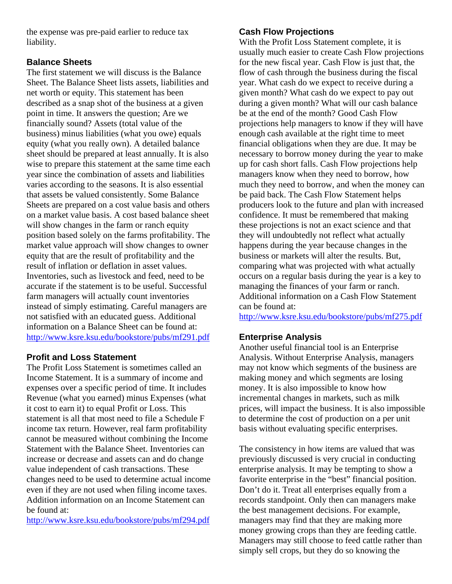the expense was pre-paid earlier to reduce tax liability.

#### **Balance Sheets**

The first statement we will discuss is the Balance Sheet. The Balance Sheet lists assets, liabilities and net worth or equity. This statement has been described as a snap shot of the business at a given point in time. It answers the question; Are we financially sound? Assets (total value of the business) minus liabilities (what you owe) equals equity (what you really own). A detailed balance sheet should be prepared at least annually. It is also wise to prepare this statement at the same time each year since the combination of assets and liabilities varies according to the seasons. It is also essential that assets be valued consistently. Some Balance Sheets are prepared on a cost value basis and others on a market value basis. A cost based balance sheet will show changes in the farm or ranch equity position based solely on the farms profitability. The market value approach will show changes to owner equity that are the result of profitability and the result of inflation or deflation in asset values. Inventories, such as livestock and feed, need to be accurate if the statement is to be useful. Successful farm managers will actually count inventories instead of simply estimating. Careful managers are not satisfied with an educated guess. Additional information on a Balance Sheet can be found at: http://www.ksre.ksu.edu/bookstore/pubs/mf291.pdf

## **Profit and Loss Statement**

The Profit Loss Statement is sometimes called an Income Statement. It is a summary of income and expenses over a specific period of time. It includes Revenue (what you earned) minus Expenses (what it cost to earn it) to equal Profit or Loss. This statement is all that most need to file a Schedule F income tax return. However, real farm profitability cannot be measured without combining the Income Statement with the Balance Sheet. Inventories can increase or decrease and assets can and do change value independent of cash transactions. These changes need to be used to determine actual income even if they are not used when filing income taxes. Addition information on an Income Statement can be found at:

http://www.ksre.ksu.edu/bookstore/pubs/mf294.pdf

#### **Cash Flow Projections**

With the Profit Loss Statement complete, it is usually much easier to create Cash Flow projections for the new fiscal year. Cash Flow is just that, the flow of cash through the business during the fiscal year. What cash do we expect to receive during a given month? What cash do we expect to pay out during a given month? What will our cash balance be at the end of the month? Good Cash Flow projections help managers to know if they will have enough cash available at the right time to meet financial obligations when they are due. It may be necessary to borrow money during the year to make up for cash short falls. Cash Flow projections help managers know when they need to borrow, how much they need to borrow, and when the money can be paid back. The Cash Flow Statement helps producers look to the future and plan with increased confidence. It must be remembered that making these projections is not an exact science and that they will undoubtedly not reflect what actually happens during the year because changes in the business or markets will alter the results. But, comparing what was projected with what actually occurs on a regular basis during the year is a key to managing the finances of your farm or ranch. Additional information on a Cash Flow Statement can be found at:

http://www.ksre.ksu.edu/bookstore/pubs/mf275.pdf

## **Enterprise Analysis**

Another useful financial tool is an Enterprise Analysis. Without Enterprise Analysis, managers may not know which segments of the business are making money and which segments are losing money. It is also impossible to know how incremental changes in markets, such as milk prices, will impact the business. It is also impossible to determine the cost of production on a per unit basis without evaluating specific enterprises.

The consistency in how items are valued that was previously discussed is very crucial in conducting enterprise analysis. It may be tempting to show a favorite enterprise in the "best" financial position. Don't do it. Treat all enterprises equally from a records standpoint. Only then can managers make the best management decisions. For example, managers may find that they are making more money growing crops than they are feeding cattle. Managers may still choose to feed cattle rather than simply sell crops, but they do so knowing the